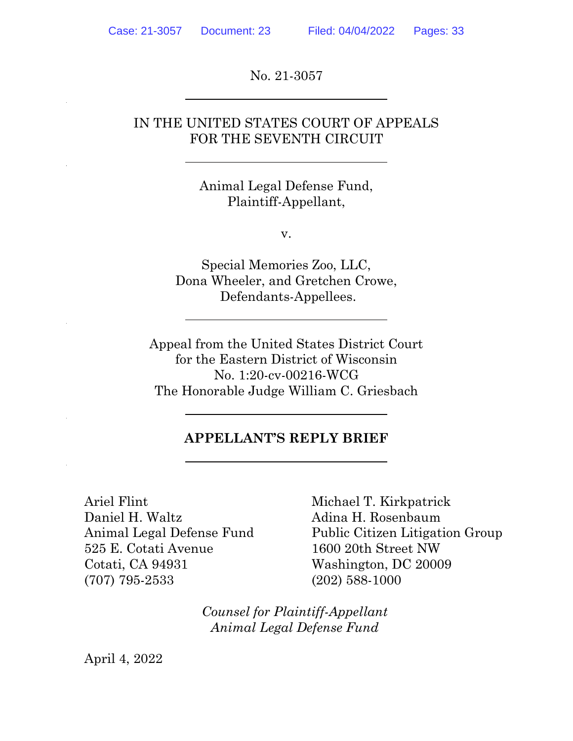No. 21-3057

### IN THE UNITED STATES COURT OF APPEALS FOR THE SEVENTH CIRCUIT

Animal Legal Defense Fund, Plaintiff-Appellant,

v.

Special Memories Zoo, LLC, Dona Wheeler, and Gretchen Crowe, Defendants-Appellees.

Appeal from the United States District Court for the Eastern District of Wisconsin No. 1:20-cv-00216-WCG The Honorable Judge William C. Griesbach

#### **APPELLANT'S REPLY BRIEF**

Ariel Flint Michael T. Kirkpatrick Daniel H. Waltz Mathematic Adina H. Rosenbaum 525 E. Cotati Avenue 1600 20th Street NW Cotati, CA 94931 Washington, DC 20009 (707) 795-2533 (202) 588-1000

Animal Legal Defense Fund Public Citizen Litigation Group

*Counsel for Plaintiff-Appellant Animal Legal Defense Fund*

April 4, 2022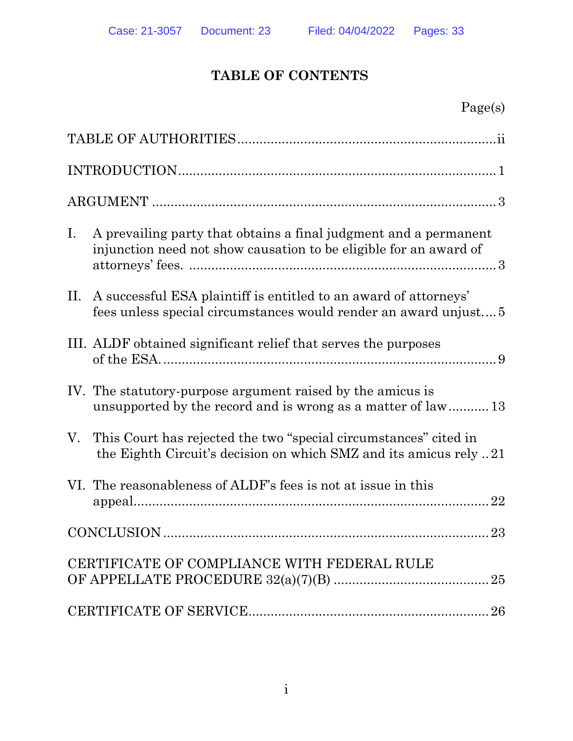# **TABLE OF CONTENTS**

| $\mathbf{I}$ . | A prevailing party that obtains a final judgment and a permanent<br>injunction need not show causation to be eligible for an award of |
|----------------|---------------------------------------------------------------------------------------------------------------------------------------|
| $\rm{II}$ .    | A successful ESA plaintiff is entitled to an award of attorneys'<br>fees unless special circumstances would render an award unjust 5  |
|                | III. ALDF obtained significant relief that serves the purposes                                                                        |
|                | IV. The statutory-purpose argument raised by the amicus is<br>unsupported by the record and is wrong as a matter of law 13            |
| V.             | This Court has rejected the two "special circumstances" cited in<br>the Eighth Circuit's decision on which SMZ and its amicus rely 21 |
|                | VI. The reasonableness of ALDF's fees is not at issue in this                                                                         |
|                |                                                                                                                                       |
|                | CERTIFICATE OF COMPLIANCE WITH FEDERAL RULE                                                                                           |
|                | 26                                                                                                                                    |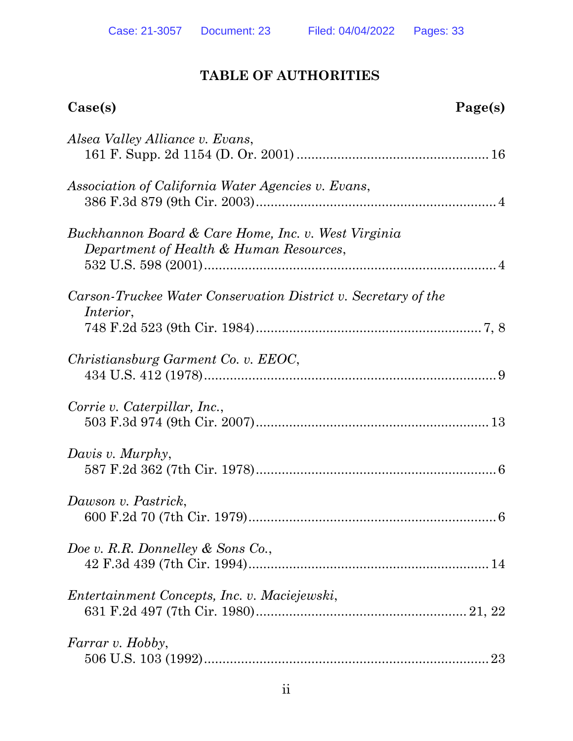# **TABLE OF AUTHORITIES**

| Case(s)                                                                                        | Page(s) |
|------------------------------------------------------------------------------------------------|---------|
| Alsea Valley Alliance v. Evans,                                                                |         |
| Association of California Water Agencies v. Evans,                                             |         |
| Buckhannon Board & Care Home, Inc. v. West Virginia<br>Department of Health & Human Resources, |         |
| Carson-Truckee Water Conservation District v. Secretary of the<br><i>Interior,</i>             |         |
| Christiansburg Garment Co. v. EEOC,                                                            |         |
| Corrie v. Caterpillar, Inc.,                                                                   |         |
| Davis v. Murphy,                                                                               |         |
| Dawson v. Pastrick,                                                                            |         |
| Doe v. R.R. Donnelley & Sons Co.,                                                              |         |
| Entertainment Concepts, Inc. v. Maciejewski,                                                   |         |
| Farrar v. Hobby,                                                                               |         |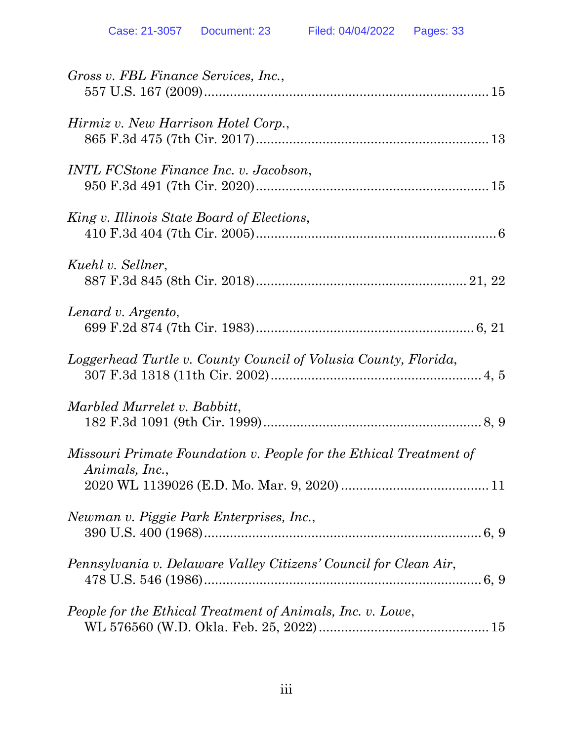| Gross v. FBL Finance Services, Inc.,                                                 |
|--------------------------------------------------------------------------------------|
| Hirmiz v. New Harrison Hotel Corp.,                                                  |
| <b>INTL FCStone Finance Inc. v. Jacobson,</b>                                        |
| King v. Illinois State Board of Elections,                                           |
| Kuehl v. Sellner,                                                                    |
| Lenard v. Argento,                                                                   |
| Loggerhead Turtle v. County Council of Volusia County, Florida,                      |
| Marbled Murrelet v. Babbitt,                                                         |
| Missouri Primate Foundation v. People for the Ethical Treatment of<br>Animals, Inc., |
| Newman v. Piggie Park Enterprises, Inc.,                                             |
| Pennsylvania v. Delaware Valley Citizens' Council for Clean Air,                     |
| People for the Ethical Treatment of Animals, Inc. v. Lowe,                           |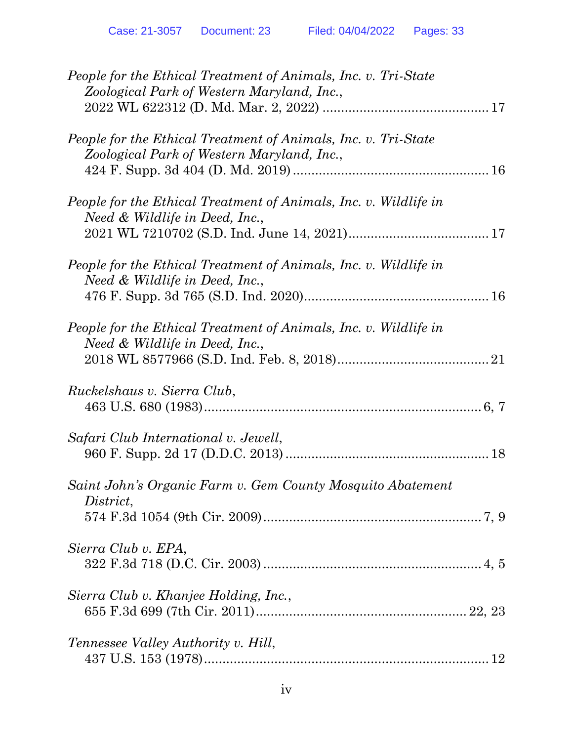| People for the Ethical Treatment of Animals, Inc. v. Tri-State<br>Zoological Park of Western Maryland, Inc., |
|--------------------------------------------------------------------------------------------------------------|
| People for the Ethical Treatment of Animals, Inc. v. Tri-State<br>Zoological Park of Western Maryland, Inc., |
| People for the Ethical Treatment of Animals, Inc. v. Wildlife in<br>Need & Wildlife in Deed, Inc.,           |
| People for the Ethical Treatment of Animals, Inc. v. Wildlife in<br>Need & Wildlife in Deed, Inc.,           |
| People for the Ethical Treatment of Animals, Inc. v. Wildlife in<br>Need & Wildlife in Deed, Inc.,           |
| Ruckelshaus v. Sierra Club,                                                                                  |
| Safari Club International v. Jewell,                                                                         |
| Saint John's Organic Farm v. Gem County Mosquito Abatement<br>District,                                      |
| Sierra Club v. EPA,                                                                                          |
| Sierra Club v. Khanjee Holding, Inc.,                                                                        |
| <i>Tennessee Valley Authority v. Hill,</i>                                                                   |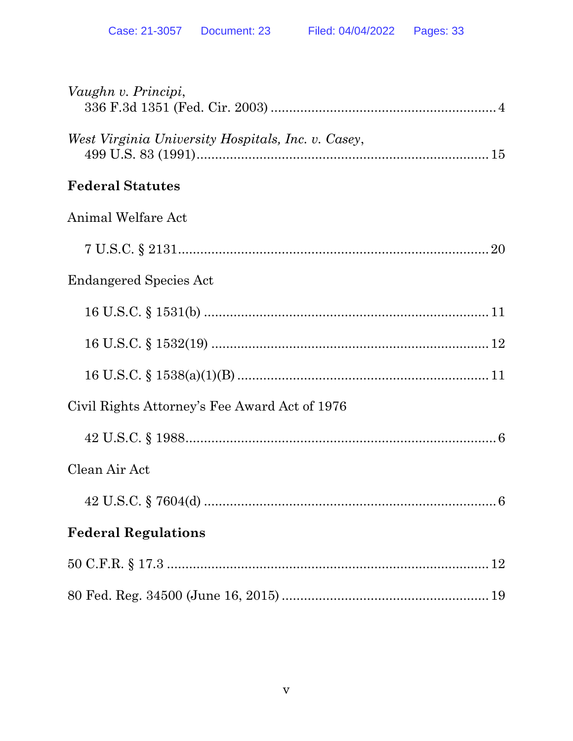| Vaughn v. Principi,                                |
|----------------------------------------------------|
| West Virginia University Hospitals, Inc. v. Casey, |
| <b>Federal Statutes</b>                            |
| Animal Welfare Act                                 |
|                                                    |
| <b>Endangered Species Act</b>                      |
|                                                    |
|                                                    |
|                                                    |
| Civil Rights Attorney's Fee Award Act of 1976      |
|                                                    |
| Clean Air Act                                      |
|                                                    |
| <b>Federal Regulations</b>                         |
|                                                    |
|                                                    |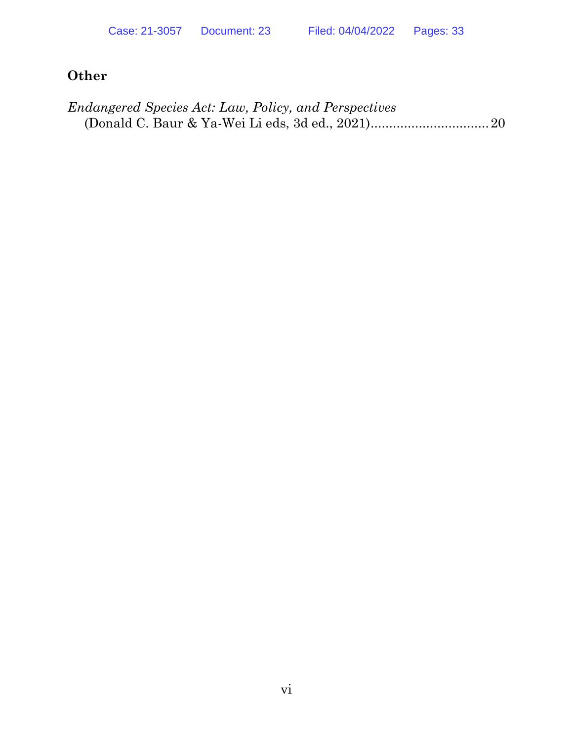# **Other**

| <i>Endangered Species Act: Law, Policy, and Perspectives</i> |  |
|--------------------------------------------------------------|--|
|                                                              |  |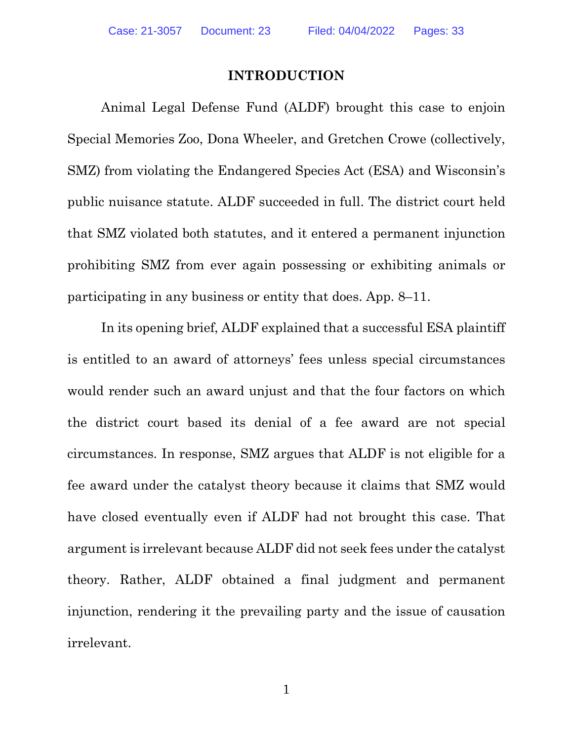#### **INTRODUCTION**

Animal Legal Defense Fund (ALDF) brought this case to enjoin Special Memories Zoo, Dona Wheeler, and Gretchen Crowe (collectively, SMZ) from violating the Endangered Species Act (ESA) and Wisconsin's public nuisance statute. ALDF succeeded in full. The district court held that SMZ violated both statutes, and it entered a permanent injunction prohibiting SMZ from ever again possessing or exhibiting animals or participating in any business or entity that does. App. 8–11.

In its opening brief, ALDF explained that a successful ESA plaintiff is entitled to an award of attorneys' fees unless special circumstances would render such an award unjust and that the four factors on which the district court based its denial of a fee award are not special circumstances. In response, SMZ argues that ALDF is not eligible for a fee award under the catalyst theory because it claims that SMZ would have closed eventually even if ALDF had not brought this case. That argument is irrelevant because ALDF did not seek fees under the catalyst theory. Rather, ALDF obtained a final judgment and permanent injunction, rendering it the prevailing party and the issue of causation irrelevant.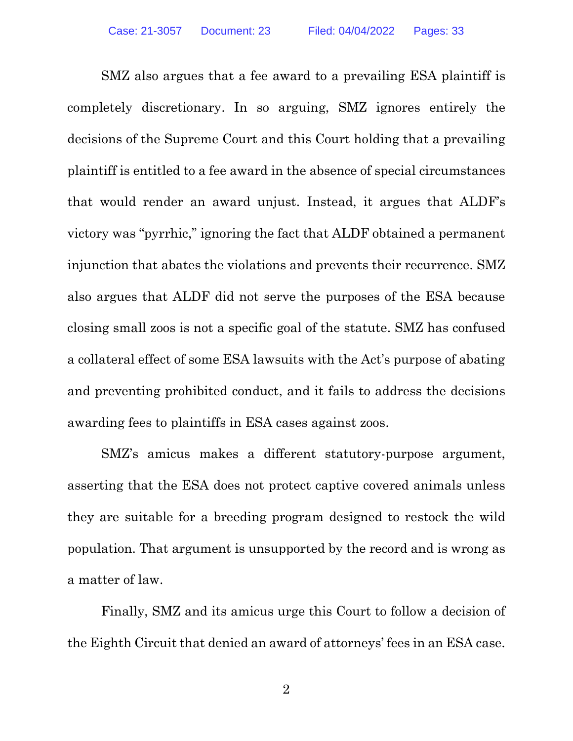SMZ also argues that a fee award to a prevailing ESA plaintiff is completely discretionary. In so arguing, SMZ ignores entirely the decisions of the Supreme Court and this Court holding that a prevailing plaintiff is entitled to a fee award in the absence of special circumstances that would render an award unjust. Instead, it argues that ALDF's victory was "pyrrhic," ignoring the fact that ALDF obtained a permanent injunction that abates the violations and prevents their recurrence. SMZ also argues that ALDF did not serve the purposes of the ESA because closing small zoos is not a specific goal of the statute. SMZ has confused a collateral effect of some ESA lawsuits with the Act's purpose of abating and preventing prohibited conduct, and it fails to address the decisions awarding fees to plaintiffs in ESA cases against zoos.

SMZ's amicus makes a different statutory-purpose argument, asserting that the ESA does not protect captive covered animals unless they are suitable for a breeding program designed to restock the wild population. That argument is unsupported by the record and is wrong as a matter of law.

Finally, SMZ and its amicus urge this Court to follow a decision of the Eighth Circuit that denied an award of attorneys' fees in an ESA case.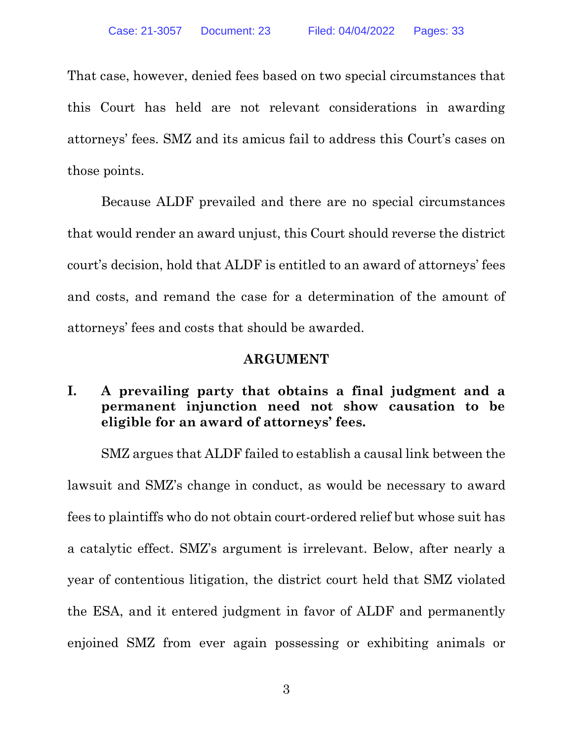That case, however, denied fees based on two special circumstances that this Court has held are not relevant considerations in awarding attorneys' fees. SMZ and its amicus fail to address this Court's cases on those points.

Because ALDF prevailed and there are no special circumstances that would render an award unjust, this Court should reverse the district court's decision, hold that ALDF is entitled to an award of attorneys' fees and costs, and remand the case for a determination of the amount of attorneys' fees and costs that should be awarded.

#### **ARGUMENT**

## **I. A prevailing party that obtains a final judgment and a permanent injunction need not show causation to be eligible for an award of attorneys' fees.**

SMZ argues that ALDF failed to establish a causal link between the lawsuit and SMZ's change in conduct, as would be necessary to award fees to plaintiffs who do not obtain court-ordered relief but whose suit has a catalytic effect. SMZ's argument is irrelevant. Below, after nearly a year of contentious litigation, the district court held that SMZ violated the ESA, and it entered judgment in favor of ALDF and permanently enjoined SMZ from ever again possessing or exhibiting animals or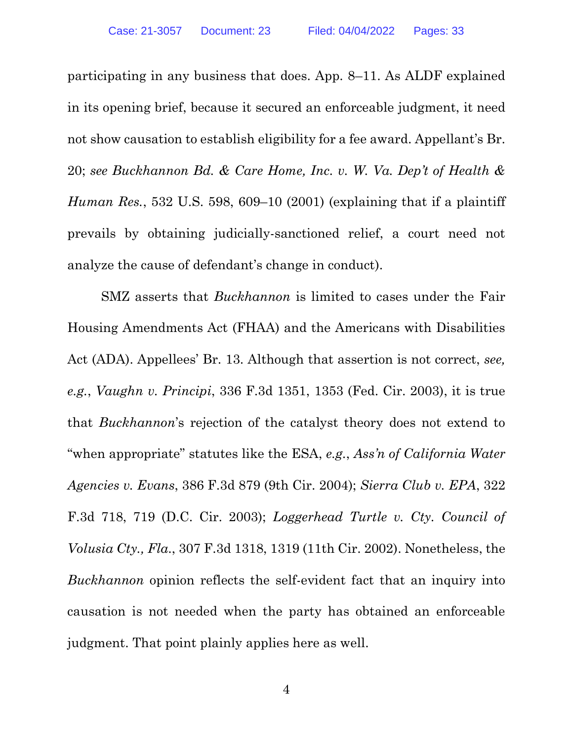participating in any business that does. App. 8–11. As ALDF explained in its opening brief, because it secured an enforceable judgment, it need not show causation to establish eligibility for a fee award. Appellant's Br. 20; *see Buckhannon Bd. & Care Home, Inc. v. W. Va. Dep't of Health & Human Res.*, 532 U.S. 598, 609–10 (2001) (explaining that if a plaintiff prevails by obtaining judicially-sanctioned relief, a court need not analyze the cause of defendant's change in conduct).

SMZ asserts that *Buckhannon* is limited to cases under the Fair Housing Amendments Act (FHAA) and the Americans with Disabilities Act (ADA). Appellees' Br. 13. Although that assertion is not correct, *see, e.g.*, *Vaughn v. Principi*, 336 F.3d 1351, 1353 (Fed. Cir. 2003), it is true that *Buckhannon*'s rejection of the catalyst theory does not extend to "when appropriate" statutes like the ESA, *e.g.*, *Ass'n of California Water Agencies v. Evans*, 386 F.3d 879 (9th Cir. 2004); *Sierra Club v. EPA*, 322 F.3d 718, 719 (D.C. Cir. 2003); *Loggerhead Turtle v. Cty. Council of Volusia Cty., Fla*., 307 F.3d 1318, 1319 (11th Cir. 2002). Nonetheless, the *Buckhannon* opinion reflects the self-evident fact that an inquiry into causation is not needed when the party has obtained an enforceable judgment. That point plainly applies here as well.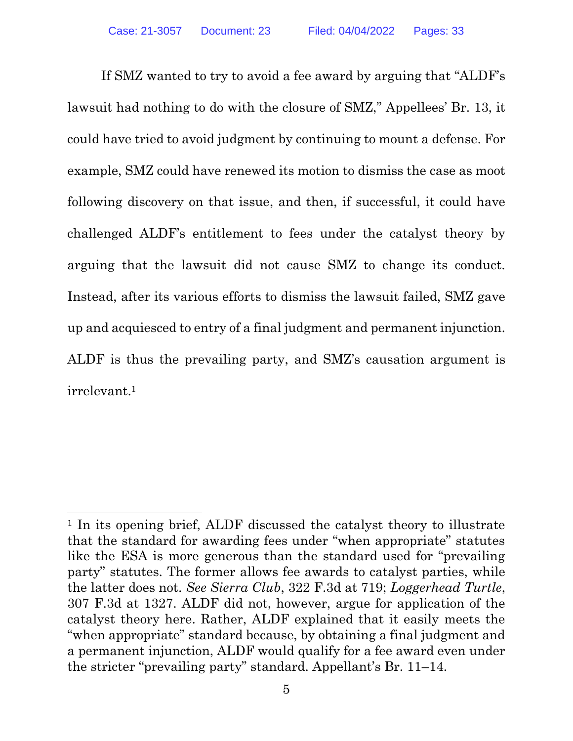If SMZ wanted to try to avoid a fee award by arguing that "ALDF's lawsuit had nothing to do with the closure of SMZ," Appellees' Br. 13, it could have tried to avoid judgment by continuing to mount a defense. For example, SMZ could have renewed its motion to dismiss the case as moot following discovery on that issue, and then, if successful, it could have challenged ALDF's entitlement to fees under the catalyst theory by arguing that the lawsuit did not cause SMZ to change its conduct. Instead, after its various efforts to dismiss the lawsuit failed, SMZ gave up and acquiesced to entry of a final judgment and permanent injunction. ALDF is thus the prevailing party, and SMZ's causation argument is irrelevant. 1

<sup>&</sup>lt;sup>1</sup> In its opening brief, ALDF discussed the catalyst theory to illustrate that the standard for awarding fees under "when appropriate" statutes like the ESA is more generous than the standard used for "prevailing party" statutes. The former allows fee awards to catalyst parties, while the latter does not. *See Sierra Club*, 322 F.3d at 719; *Loggerhead Turtle*, 307 F.3d at 1327. ALDF did not, however, argue for application of the catalyst theory here. Rather, ALDF explained that it easily meets the "when appropriate" standard because, by obtaining a final judgment and a permanent injunction, ALDF would qualify for a fee award even under the stricter "prevailing party" standard. Appellant's Br. 11–14.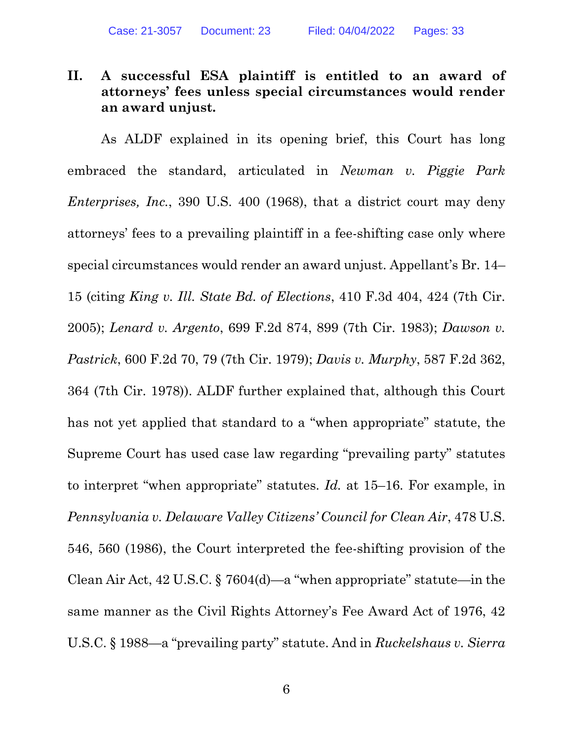## **II. A successful ESA plaintiff is entitled to an award of attorneys' fees unless special circumstances would render an award unjust.**

As ALDF explained in its opening brief, this Court has long embraced the standard, articulated in *Newman v. Piggie Park Enterprises, Inc.*, 390 U.S. 400 (1968), that a district court may deny attorneys' fees to a prevailing plaintiff in a fee-shifting case only where special circumstances would render an award unjust. Appellant's Br. 14– 15 (citing *King v. Ill. State Bd. of Elections*, 410 F.3d 404, 424 (7th Cir. 2005); *Lenard v. Argento*, 699 F.2d 874, 899 (7th Cir. 1983); *Dawson v. Pastrick*, 600 F.2d 70, 79 (7th Cir. 1979); *Davis v. Murphy*, 587 F.2d 362, 364 (7th Cir. 1978)). ALDF further explained that, although this Court has not yet applied that standard to a "when appropriate" statute, the Supreme Court has used case law regarding "prevailing party" statutes to interpret "when appropriate" statutes. *Id.* at 15–16. For example, in *Pennsylvania v. Delaware Valley Citizens' Council for Clean Air*, 478 U.S. 546, 560 (1986), the Court interpreted the fee-shifting provision of the Clean Air Act, 42 U.S.C. § 7604(d)—a "when appropriate" statute—in the same manner as the Civil Rights Attorney's Fee Award Act of 1976, 42 U.S.C. § 1988—a "prevailing party" statute. And in *Ruckelshaus v. Sierra*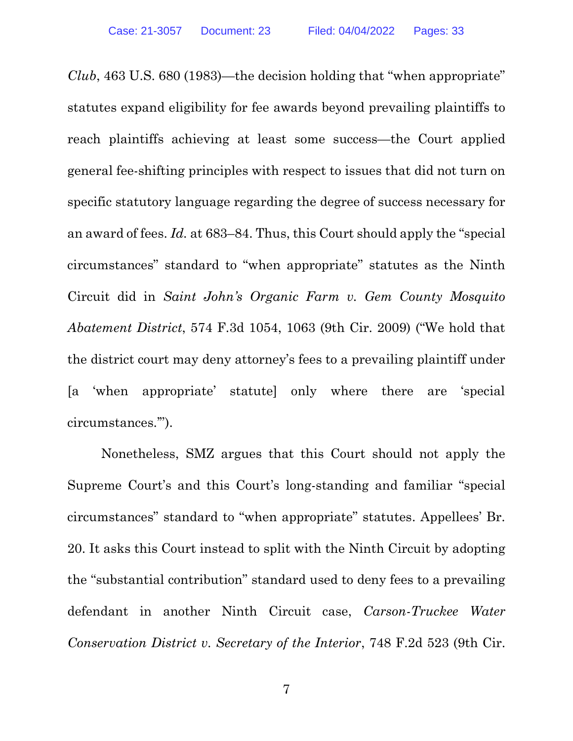*Club*, 463 U.S. 680 (1983)—the decision holding that "when appropriate" statutes expand eligibility for fee awards beyond prevailing plaintiffs to reach plaintiffs achieving at least some success—the Court applied general fee-shifting principles with respect to issues that did not turn on specific statutory language regarding the degree of success necessary for an award of fees. *Id.* at 683–84. Thus, this Court should apply the "special circumstances" standard to "when appropriate" statutes as the Ninth Circuit did in *Saint John's Organic Farm v. Gem County Mosquito Abatement District*, 574 F.3d 1054, 1063 (9th Cir. 2009) ("We hold that the district court may deny attorney's fees to a prevailing plaintiff under [a 'when appropriate' statute] only where there are 'special circumstances.'").

Nonetheless, SMZ argues that this Court should not apply the Supreme Court's and this Court's long-standing and familiar "special circumstances" standard to "when appropriate" statutes. Appellees' Br. 20. It asks this Court instead to split with the Ninth Circuit by adopting the "substantial contribution" standard used to deny fees to a prevailing defendant in another Ninth Circuit case, *Carson-Truckee Water Conservation District v. Secretary of the Interior*, 748 F.2d 523 (9th Cir.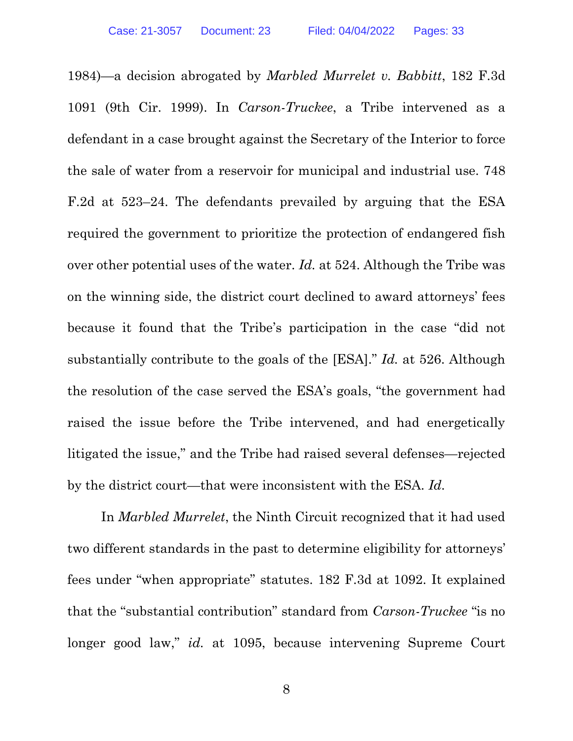1984)—a decision abrogated by *Marbled Murrelet v. Babbitt*, 182 F.3d 1091 (9th Cir. 1999). In *Carson-Truckee*, a Tribe intervened as a defendant in a case brought against the Secretary of the Interior to force the sale of water from a reservoir for municipal and industrial use. 748 F.2d at 523–24. The defendants prevailed by arguing that the ESA required the government to prioritize the protection of endangered fish over other potential uses of the water. *Id.* at 524. Although the Tribe was on the winning side, the district court declined to award attorneys' fees because it found that the Tribe's participation in the case "did not substantially contribute to the goals of the [ESA]." *Id.* at 526. Although the resolution of the case served the ESA's goals, "the government had raised the issue before the Tribe intervened, and had energetically litigated the issue," and the Tribe had raised several defenses—rejected by the district court—that were inconsistent with the ESA. *Id.*

In *Marbled Murrelet*, the Ninth Circuit recognized that it had used two different standards in the past to determine eligibility for attorneys' fees under "when appropriate" statutes. 182 F.3d at 1092. It explained that the "substantial contribution" standard from *Carson-Truckee* "is no longer good law," *id.* at 1095, because intervening Supreme Court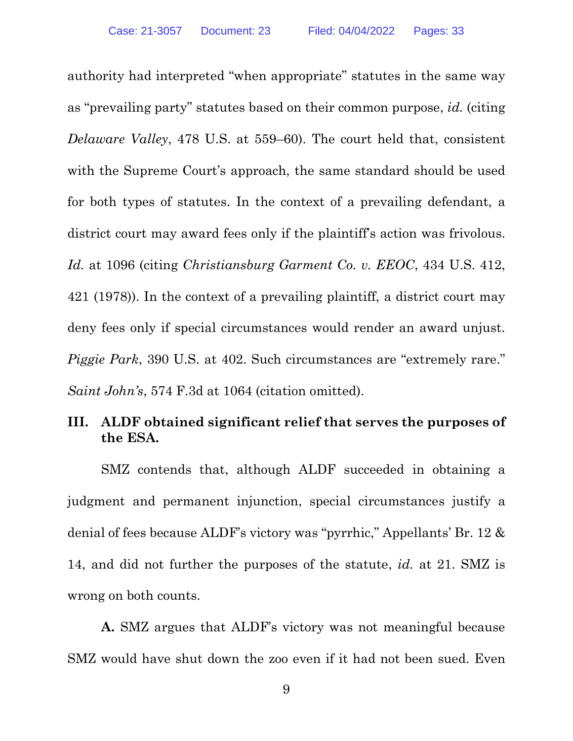authority had interpreted "when appropriate" statutes in the same way as "prevailing party" statutes based on their common purpose, *id.* (citing *Delaware Valley*, 478 U.S. at 559–60). The court held that, consistent with the Supreme Court's approach, the same standard should be used for both types of statutes. In the context of a prevailing defendant, a district court may award fees only if the plaintiff's action was frivolous. *Id.* at 1096 (citing *Christiansburg Garment Co. v. EEOC*, 434 U.S. 412, 421 (1978)). In the context of a prevailing plaintiff, a district court may deny fees only if special circumstances would render an award unjust. *Piggie Park*, 390 U.S. at 402. Such circumstances are "extremely rare." *Saint John's*, 574 F.3d at 1064 (citation omitted).

#### **III. ALDF obtained significant relief that serves the purposes of the ESA.**

SMZ contends that, although ALDF succeeded in obtaining a judgment and permanent injunction, special circumstances justify a denial of fees because ALDF's victory was "pyrrhic," Appellants' Br. 12 & 14, and did not further the purposes of the statute, *id.* at 21. SMZ is wrong on both counts.

**A.** SMZ argues that ALDF's victory was not meaningful because SMZ would have shut down the zoo even if it had not been sued. Even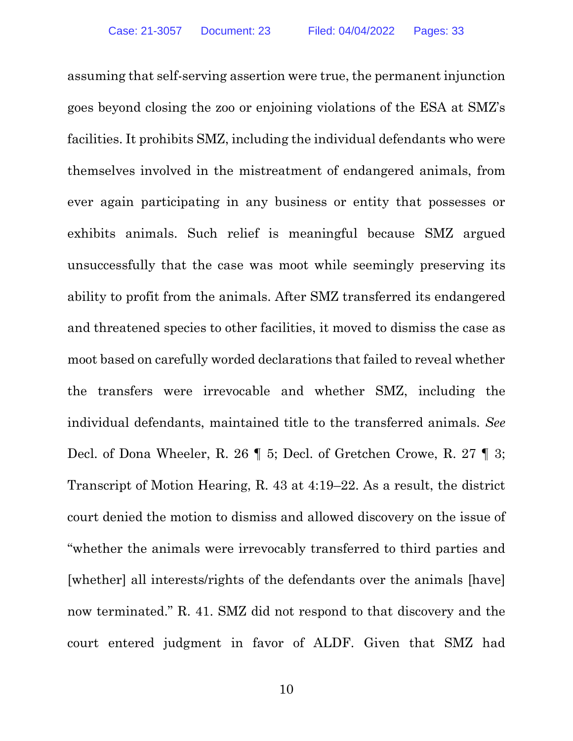assuming that self-serving assertion were true, the permanent injunction goes beyond closing the zoo or enjoining violations of the ESA at SMZ's facilities. It prohibits SMZ, including the individual defendants who were themselves involved in the mistreatment of endangered animals, from ever again participating in any business or entity that possesses or exhibits animals. Such relief is meaningful because SMZ argued unsuccessfully that the case was moot while seemingly preserving its ability to profit from the animals. After SMZ transferred its endangered and threatened species to other facilities, it moved to dismiss the case as moot based on carefully worded declarations that failed to reveal whether the transfers were irrevocable and whether SMZ, including the individual defendants, maintained title to the transferred animals. *See*  Decl. of Dona Wheeler, R. 26 ¶ 5; Decl. of Gretchen Crowe, R. 27 ¶ 3; Transcript of Motion Hearing, R. 43 at 4:19–22. As a result, the district court denied the motion to dismiss and allowed discovery on the issue of "whether the animals were irrevocably transferred to third parties and [whether] all interests/rights of the defendants over the animals [have] now terminated." R. 41. SMZ did not respond to that discovery and the court entered judgment in favor of ALDF. Given that SMZ had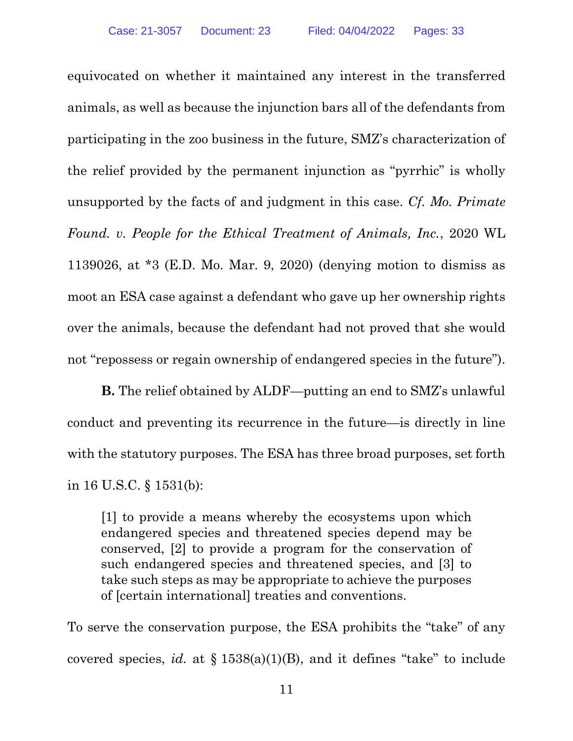equivocated on whether it maintained any interest in the transferred animals, as well as because the injunction bars all of the defendants from participating in the zoo business in the future, SMZ's characterization of the relief provided by the permanent injunction as "pyrrhic" is wholly unsupported by the facts of and judgment in this case. *Cf. Mo. Primate Found. v. People for the Ethical Treatment of Animals, Inc.*, 2020 WL 1139026, at \*3 (E.D. Mo. Mar. 9, 2020) (denying motion to dismiss as moot an ESA case against a defendant who gave up her ownership rights over the animals, because the defendant had not proved that she would not "repossess or regain ownership of endangered species in the future").

**B.** The relief obtained by ALDF—putting an end to SMZ's unlawful conduct and preventing its recurrence in the future—is directly in line with the statutory purposes. The ESA has three broad purposes, set forth in 16 U.S.C. § 1531(b):

[1] to provide a means whereby the ecosystems upon which endangered species and threatened species depend may be conserved, [2] to provide a program for the conservation of such endangered species and threatened species, and [3] to take such steps as may be appropriate to achieve the purposes of [certain international] treaties and conventions.

To serve the conservation purpose, the ESA prohibits the "take" of any covered species, *id.* at § 1538(a)(1)(B), and it defines "take" to include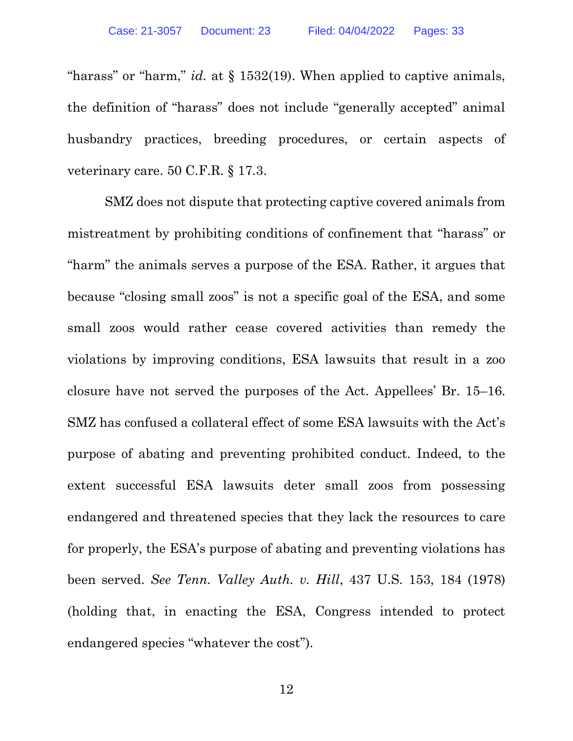"harass" or "harm," *id.* at § 1532(19). When applied to captive animals, the definition of "harass" does not include "generally accepted" animal husbandry practices, breeding procedures, or certain aspects of veterinary care. 50 C.F.R. § 17.3.

SMZ does not dispute that protecting captive covered animals from mistreatment by prohibiting conditions of confinement that "harass" or "harm" the animals serves a purpose of the ESA. Rather, it argues that because "closing small zoos" is not a specific goal of the ESA, and some small zoos would rather cease covered activities than remedy the violations by improving conditions, ESA lawsuits that result in a zoo closure have not served the purposes of the Act. Appellees' Br. 15–16. SMZ has confused a collateral effect of some ESA lawsuits with the Act's purpose of abating and preventing prohibited conduct. Indeed, to the extent successful ESA lawsuits deter small zoos from possessing endangered and threatened species that they lack the resources to care for properly, the ESA's purpose of abating and preventing violations has been served. *See Tenn. Valley Auth. v. Hill*, 437 U.S. 153, 184 (1978) (holding that, in enacting the ESA, Congress intended to protect endangered species "whatever the cost").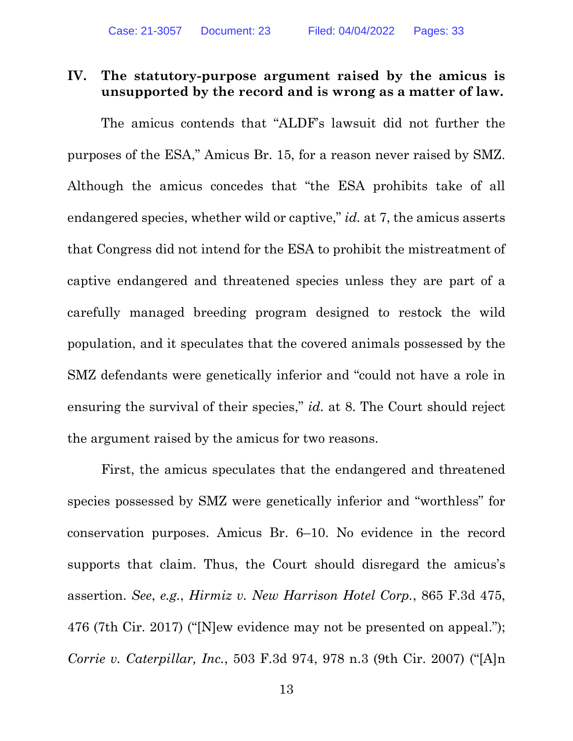#### **IV. The statutory-purpose argument raised by the amicus is unsupported by the record and is wrong as a matter of law.**

The amicus contends that "ALDF's lawsuit did not further the purposes of the ESA," Amicus Br. 15, for a reason never raised by SMZ. Although the amicus concedes that "the ESA prohibits take of all endangered species, whether wild or captive," *id.* at 7, the amicus asserts that Congress did not intend for the ESA to prohibit the mistreatment of captive endangered and threatened species unless they are part of a carefully managed breeding program designed to restock the wild population, and it speculates that the covered animals possessed by the SMZ defendants were genetically inferior and "could not have a role in ensuring the survival of their species," *id.* at 8. The Court should reject the argument raised by the amicus for two reasons.

First, the amicus speculates that the endangered and threatened species possessed by SMZ were genetically inferior and "worthless" for conservation purposes. Amicus Br. 6–10. No evidence in the record supports that claim. Thus, the Court should disregard the amicus's assertion. *See*, *e.g.*, *Hirmiz v. New Harrison Hotel Corp.*, 865 F.3d 475, 476 (7th Cir. 2017) ("[N]ew evidence may not be presented on appeal."); *Corrie v. Caterpillar, Inc.*, 503 F.3d 974, 978 n.3 (9th Cir. 2007) ("[A]n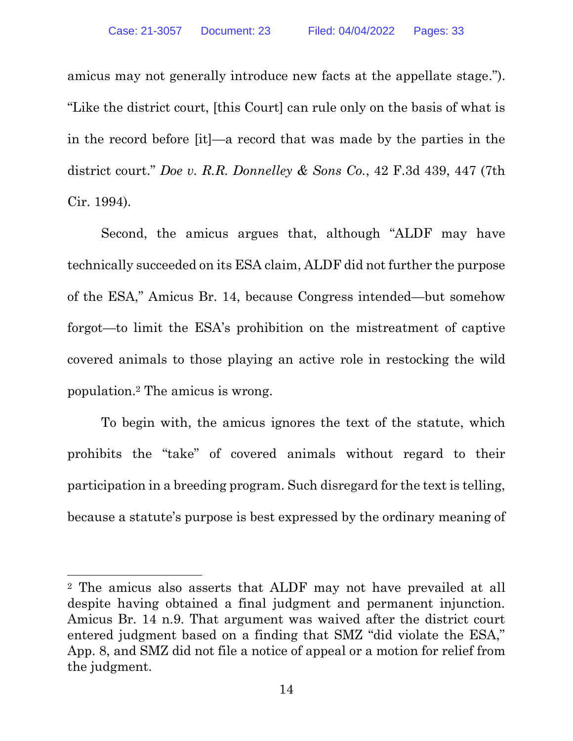amicus may not generally introduce new facts at the appellate stage."). "Like the district court, [this Court] can rule only on the basis of what is in the record before [it]—a record that was made by the parties in the district court." *Doe v. R.R. Donnelley & Sons Co.*, 42 F.3d 439, 447 (7th Cir. 1994).

Second, the amicus argues that, although "ALDF may have technically succeeded on its ESA claim, ALDF did not further the purpose of the ESA," Amicus Br. 14, because Congress intended—but somehow forgot—to limit the ESA's prohibition on the mistreatment of captive covered animals to those playing an active role in restocking the wild population.<sup>2</sup> The amicus is wrong.

To begin with, the amicus ignores the text of the statute, which prohibits the "take" of covered animals without regard to their participation in a breeding program. Such disregard for the text is telling, because a statute's purpose is best expressed by the ordinary meaning of

<sup>2</sup> The amicus also asserts that ALDF may not have prevailed at all despite having obtained a final judgment and permanent injunction. Amicus Br. 14 n.9. That argument was waived after the district court entered judgment based on a finding that SMZ "did violate the ESA," App. 8, and SMZ did not file a notice of appeal or a motion for relief from the judgment.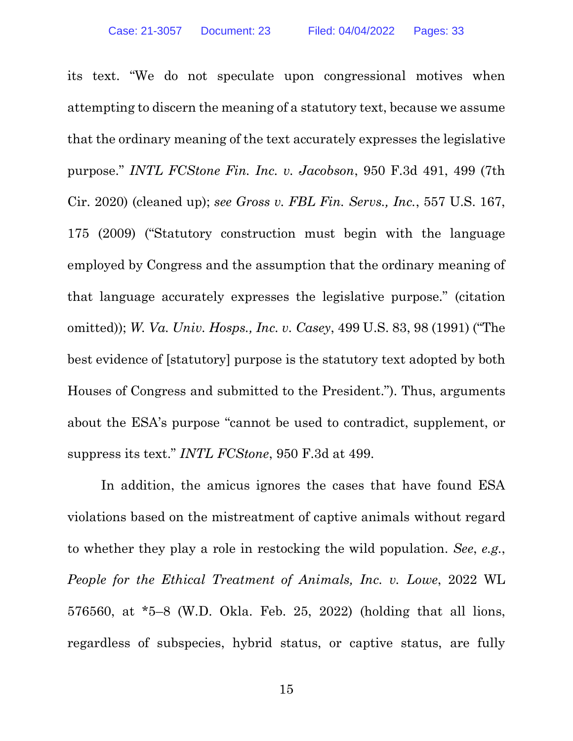its text. "We do not speculate upon congressional motives when attempting to discern the meaning of a statutory text, because we assume that the ordinary meaning of the text accurately expresses the legislative purpose." *INTL FCStone Fin. Inc. v. Jacobson*, 950 F.3d 491, 499 (7th Cir. 2020) (cleaned up); *see Gross v. FBL Fin. Servs., Inc.*, 557 U.S. 167, 175 (2009) ("Statutory construction must begin with the language employed by Congress and the assumption that the ordinary meaning of that language accurately expresses the legislative purpose." (citation omitted)); *W. Va. Univ. Hosps., Inc. v. Casey*, 499 U.S. 83, 98 (1991) ("The best evidence of [statutory] purpose is the statutory text adopted by both Houses of Congress and submitted to the President."). Thus, arguments about the ESA's purpose "cannot be used to contradict, supplement, or suppress its text." *INTL FCStone*, 950 F.3d at 499.

In addition, the amicus ignores the cases that have found ESA violations based on the mistreatment of captive animals without regard to whether they play a role in restocking the wild population. *See*, *e.g.*, *People for the Ethical Treatment of Animals, Inc. v. Lowe*, 2022 WL 576560, at \*5–8 (W.D. Okla. Feb. 25, 2022) (holding that all lions, regardless of subspecies, hybrid status, or captive status, are fully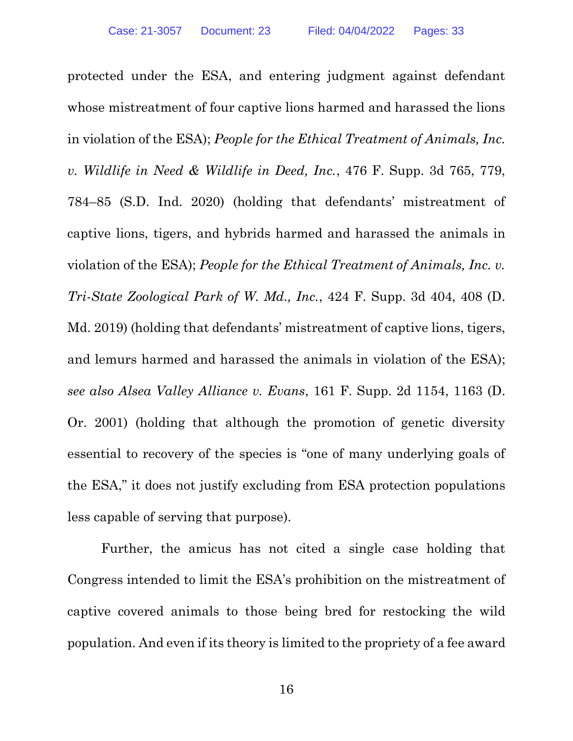protected under the ESA, and entering judgment against defendant whose mistreatment of four captive lions harmed and harassed the lions in violation of the ESA); *People for the Ethical Treatment of Animals, Inc. v. Wildlife in Need & Wildlife in Deed, Inc.*, 476 F. Supp. 3d 765, 779, 784–85 (S.D. Ind. 2020) (holding that defendants' mistreatment of captive lions, tigers, and hybrids harmed and harassed the animals in violation of the ESA); *People for the Ethical Treatment of Animals, Inc. v. Tri-State Zoological Park of W. Md., Inc.*, 424 F. Supp. 3d 404, 408 (D. Md. 2019) (holding that defendants' mistreatment of captive lions, tigers, and lemurs harmed and harassed the animals in violation of the ESA); *see also Alsea Valley Alliance v. Evans*, 161 F. Supp. 2d 1154, 1163 (D. Or. 2001) (holding that although the promotion of genetic diversity essential to recovery of the species is "one of many underlying goals of the ESA," it does not justify excluding from ESA protection populations less capable of serving that purpose).

Further, the amicus has not cited a single case holding that Congress intended to limit the ESA's prohibition on the mistreatment of captive covered animals to those being bred for restocking the wild population. And even if its theory is limited to the propriety of a fee award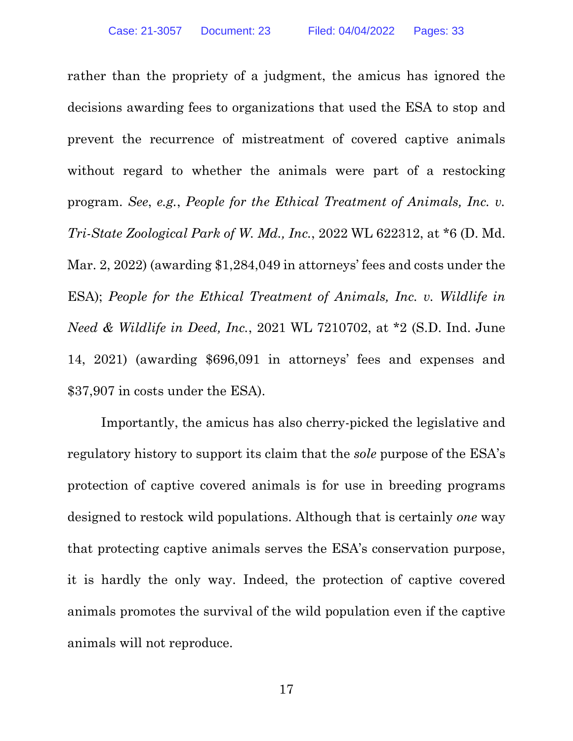rather than the propriety of a judgment, the amicus has ignored the decisions awarding fees to organizations that used the ESA to stop and prevent the recurrence of mistreatment of covered captive animals without regard to whether the animals were part of a restocking program. *See*, *e.g.*, *People for the Ethical Treatment of Animals, Inc. v. Tri-State Zoological Park of W. Md., Inc.*, 2022 WL 622312, at \*6 (D. Md. Mar. 2, 2022) (awarding \$1,284,049 in attorneys' fees and costs under the ESA); *People for the Ethical Treatment of Animals, Inc. v. Wildlife in Need & Wildlife in Deed, Inc.*, 2021 WL 7210702, at \*2 (S.D. Ind. June 14, 2021) (awarding \$696,091 in attorneys' fees and expenses and \$37,907 in costs under the ESA).

Importantly, the amicus has also cherry-picked the legislative and regulatory history to support its claim that the *sole* purpose of the ESA's protection of captive covered animals is for use in breeding programs designed to restock wild populations. Although that is certainly *one* way that protecting captive animals serves the ESA's conservation purpose, it is hardly the only way. Indeed, the protection of captive covered animals promotes the survival of the wild population even if the captive animals will not reproduce.

17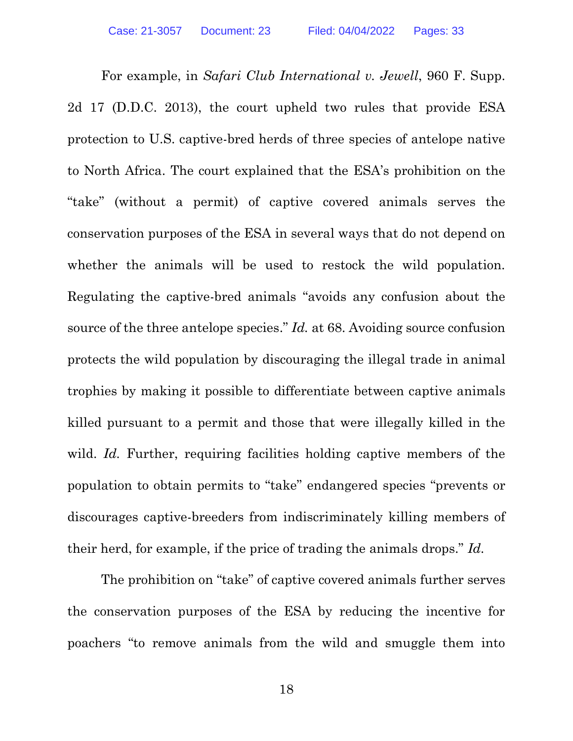For example, in *Safari Club International v. Jewell*, 960 F. Supp. 2d 17 (D.D.C. 2013), the court upheld two rules that provide ESA protection to U.S. captive-bred herds of three species of antelope native to North Africa. The court explained that the ESA's prohibition on the "take" (without a permit) of captive covered animals serves the conservation purposes of the ESA in several ways that do not depend on whether the animals will be used to restock the wild population. Regulating the captive-bred animals "avoids any confusion about the source of the three antelope species." *Id.* at 68. Avoiding source confusion protects the wild population by discouraging the illegal trade in animal trophies by making it possible to differentiate between captive animals killed pursuant to a permit and those that were illegally killed in the wild. *Id.* Further, requiring facilities holding captive members of the population to obtain permits to "take" endangered species "prevents or discourages captive-breeders from indiscriminately killing members of their herd, for example, if the price of trading the animals drops." *Id.*

The prohibition on "take" of captive covered animals further serves the conservation purposes of the ESA by reducing the incentive for poachers "to remove animals from the wild and smuggle them into

18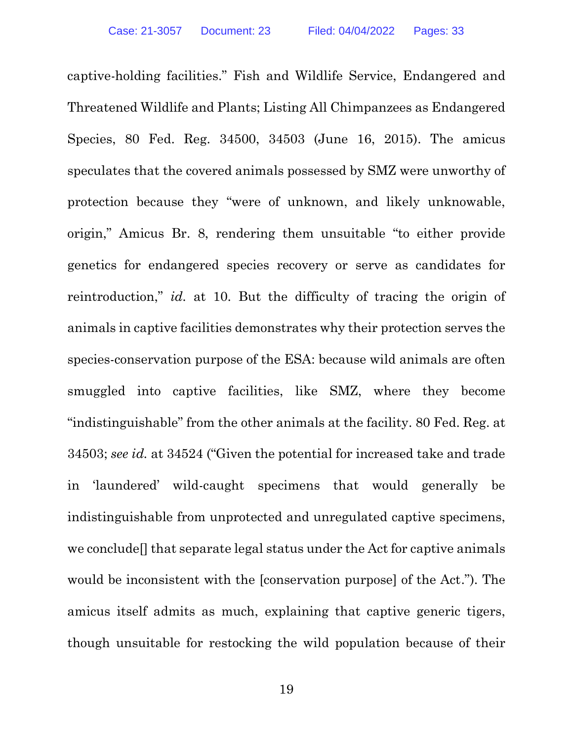captive-holding facilities." Fish and Wildlife Service, Endangered and Threatened Wildlife and Plants; Listing All Chimpanzees as Endangered Species, 80 Fed. Reg. 34500, 34503 (June 16, 2015). The amicus speculates that the covered animals possessed by SMZ were unworthy of protection because they "were of unknown, and likely unknowable, origin," Amicus Br. 8, rendering them unsuitable "to either provide genetics for endangered species recovery or serve as candidates for reintroduction," *id.* at 10. But the difficulty of tracing the origin of animals in captive facilities demonstrates why their protection serves the species-conservation purpose of the ESA: because wild animals are often smuggled into captive facilities, like SMZ, where they become "indistinguishable" from the other animals at the facility. 80 Fed. Reg. at 34503; *see id.* at 34524 ("Given the potential for increased take and trade in 'laundered' wild-caught specimens that would generally be indistinguishable from unprotected and unregulated captive specimens, we conclude[] that separate legal status under the Act for captive animals would be inconsistent with the [conservation purpose] of the Act."). The amicus itself admits as much, explaining that captive generic tigers, though unsuitable for restocking the wild population because of their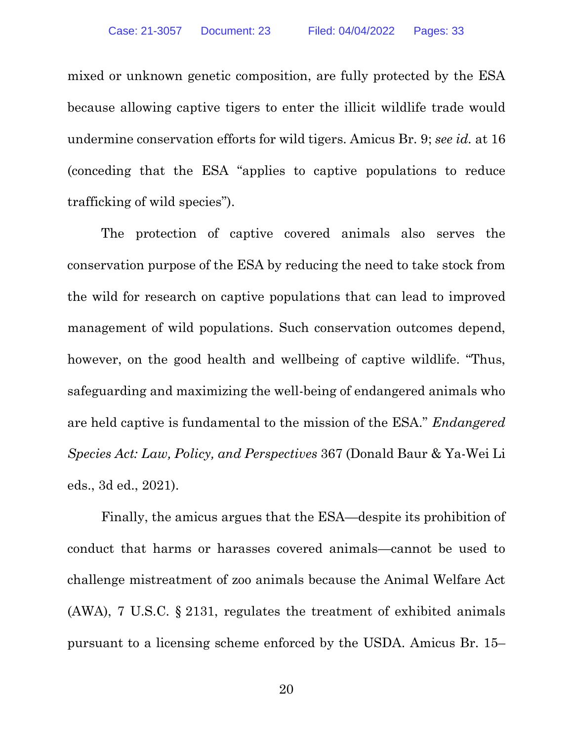mixed or unknown genetic composition, are fully protected by the ESA because allowing captive tigers to enter the illicit wildlife trade would undermine conservation efforts for wild tigers. Amicus Br. 9; *see id.* at 16 (conceding that the ESA "applies to captive populations to reduce trafficking of wild species").

The protection of captive covered animals also serves the conservation purpose of the ESA by reducing the need to take stock from the wild for research on captive populations that can lead to improved management of wild populations. Such conservation outcomes depend, however, on the good health and wellbeing of captive wildlife. "Thus, safeguarding and maximizing the well-being of endangered animals who are held captive is fundamental to the mission of the ESA." *Endangered Species Act: Law, Policy, and Perspectives* 367 (Donald Baur & Ya-Wei Li eds., 3d ed., 2021).

Finally, the amicus argues that the ESA—despite its prohibition of conduct that harms or harasses covered animals—cannot be used to challenge mistreatment of zoo animals because the Animal Welfare Act (AWA), 7 U.S.C. § 2131, regulates the treatment of exhibited animals pursuant to a licensing scheme enforced by the USDA. Amicus Br. 15–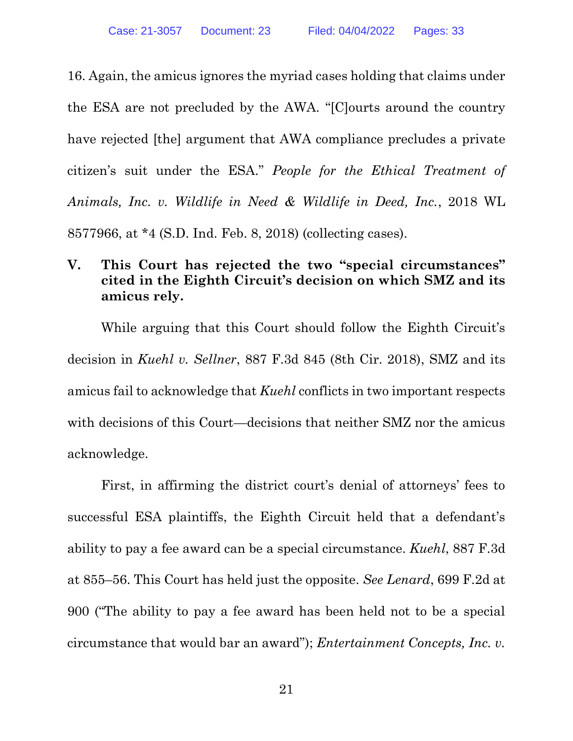16. Again, the amicus ignores the myriad cases holding that claims under the ESA are not precluded by the AWA. "[C]ourts around the country have rejected [the] argument that AWA compliance precludes a private citizen's suit under the ESA." *People for the Ethical Treatment of Animals, Inc. v. Wildlife in Need & Wildlife in Deed, Inc.*, 2018 WL 8577966, at \*4 (S.D. Ind. Feb. 8, 2018) (collecting cases).

## **V. This Court has rejected the two "special circumstances" cited in the Eighth Circuit's decision on which SMZ and its amicus rely.**

While arguing that this Court should follow the Eighth Circuit's decision in *Kuehl v. Sellner*, 887 F.3d 845 (8th Cir. 2018), SMZ and its amicus fail to acknowledge that *Kuehl* conflicts in two important respects with decisions of this Court—decisions that neither SMZ nor the amicus acknowledge.

First, in affirming the district court's denial of attorneys' fees to successful ESA plaintiffs, the Eighth Circuit held that a defendant's ability to pay a fee award can be a special circumstance. *Kuehl*, 887 F.3d at 855–56. This Court has held just the opposite. *See Lenard*, 699 F.2d at 900 ("The ability to pay a fee award has been held not to be a special circumstance that would bar an award"); *Entertainment Concepts, Inc. v.*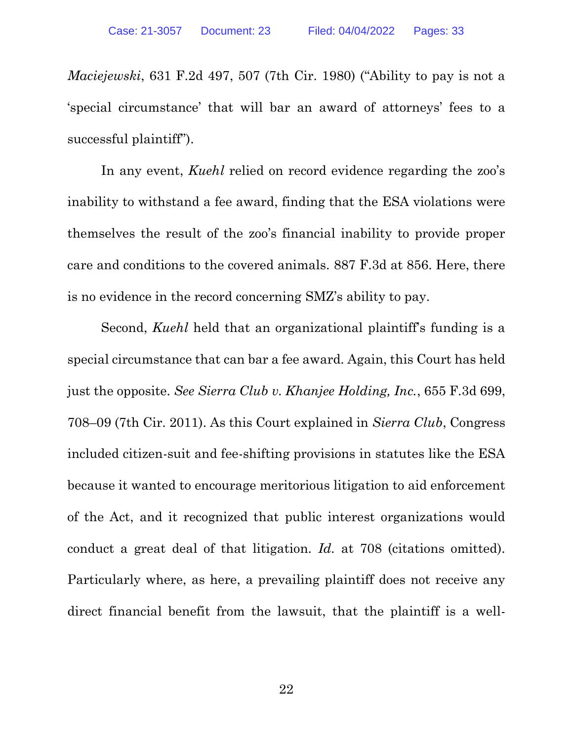*Maciejewski*, 631 F.2d 497, 507 (7th Cir. 1980) ("Ability to pay is not a 'special circumstance' that will bar an award of attorneys' fees to a successful plaintiff").

In any event, *Kuehl* relied on record evidence regarding the zoo's inability to withstand a fee award, finding that the ESA violations were themselves the result of the zoo's financial inability to provide proper care and conditions to the covered animals. 887 F.3d at 856. Here, there is no evidence in the record concerning SMZ's ability to pay.

Second, *Kuehl* held that an organizational plaintiff's funding is a special circumstance that can bar a fee award. Again, this Court has held just the opposite. *See Sierra Club v. Khanjee Holding, Inc.*, 655 F.3d 699, 708–09 (7th Cir. 2011). As this Court explained in *Sierra Club*, Congress included citizen-suit and fee-shifting provisions in statutes like the ESA because it wanted to encourage meritorious litigation to aid enforcement of the Act, and it recognized that public interest organizations would conduct a great deal of that litigation. *Id.* at 708 (citations omitted). Particularly where, as here, a prevailing plaintiff does not receive any direct financial benefit from the lawsuit, that the plaintiff is a well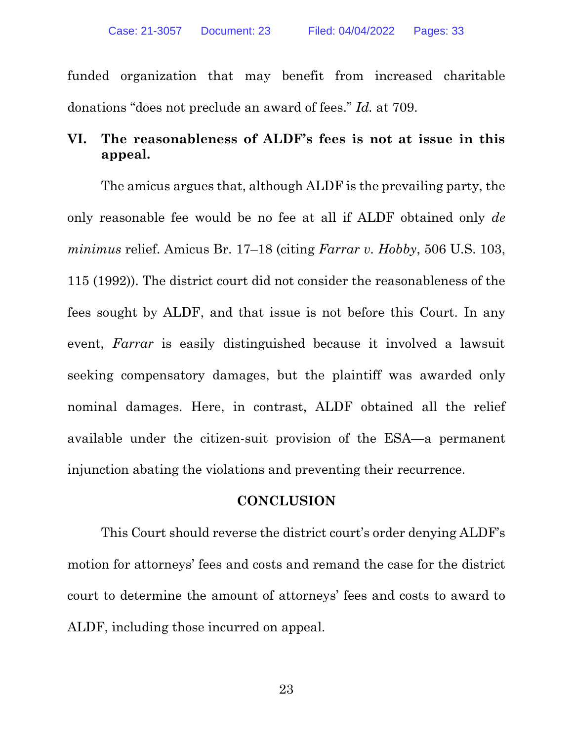funded organization that may benefit from increased charitable donations "does not preclude an award of fees." *Id.* at 709.

## **VI. The reasonableness of ALDF's fees is not at issue in this appeal.**

The amicus argues that, although ALDF is the prevailing party, the only reasonable fee would be no fee at all if ALDF obtained only *de minimus* relief. Amicus Br. 17–18 (citing *Farrar v. Hobby*, 506 U.S. 103, 115 (1992)). The district court did not consider the reasonableness of the fees sought by ALDF, and that issue is not before this Court. In any event, *Farrar* is easily distinguished because it involved a lawsuit seeking compensatory damages, but the plaintiff was awarded only nominal damages. Here, in contrast, ALDF obtained all the relief available under the citizen-suit provision of the ESA—a permanent injunction abating the violations and preventing their recurrence.

#### **CONCLUSION**

This Court should reverse the district court's order denying ALDF's motion for attorneys' fees and costs and remand the case for the district court to determine the amount of attorneys' fees and costs to award to ALDF, including those incurred on appeal.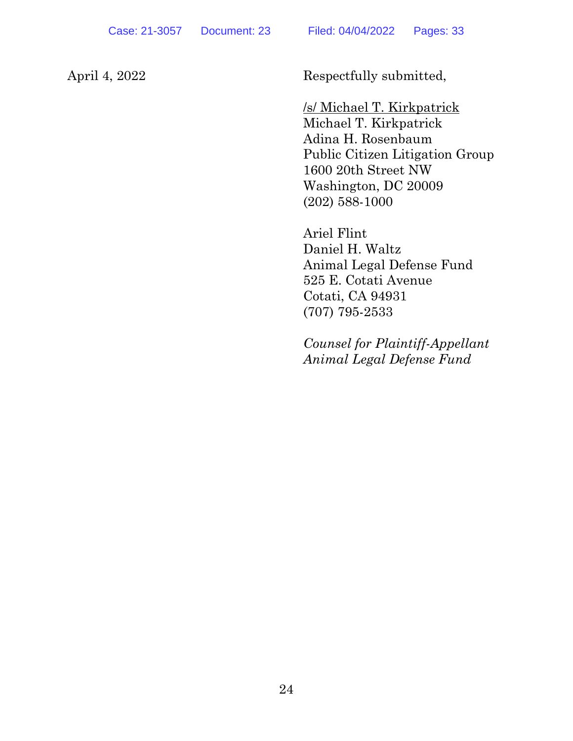April 4, 2022 Respectfully submitted,

/s/ Michael T. Kirkpatrick Michael T. Kirkpatrick Adina H. Rosenbaum Public Citizen Litigation Group 1600 20th Street NW Washington, DC 20009 (202) 588-1000

Ariel Flint Daniel H. Waltz Animal Legal Defense Fund 525 E. Cotati Avenue Cotati, CA 94931 (707) 795-2533

*Counsel for Plaintiff-Appellant Animal Legal Defense Fund*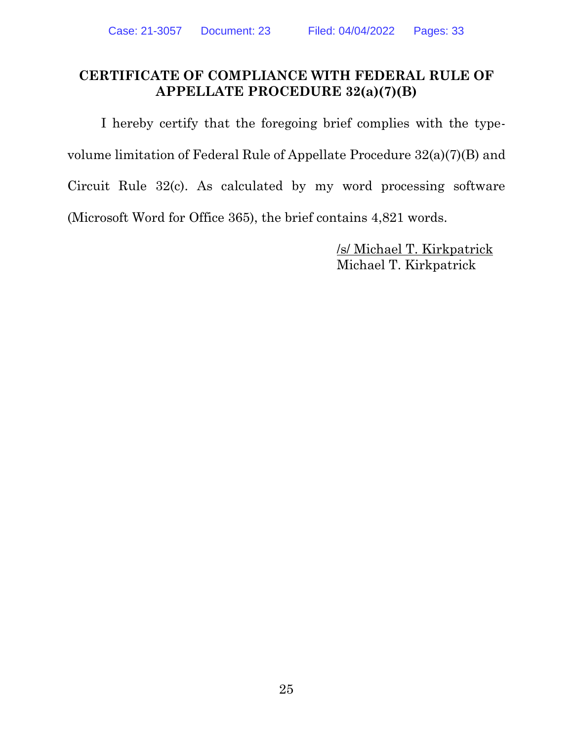#### **CERTIFICATE OF COMPLIANCE WITH FEDERAL RULE OF APPELLATE PROCEDURE 32(a)(7)(B)**

I hereby certify that the foregoing brief complies with the typevolume limitation of Federal Rule of Appellate Procedure 32(a)(7)(B) and Circuit Rule 32(c). As calculated by my word processing software (Microsoft Word for Office 365), the brief contains 4,821 words.

> /s/ Michael T. Kirkpatrick Michael T. Kirkpatrick